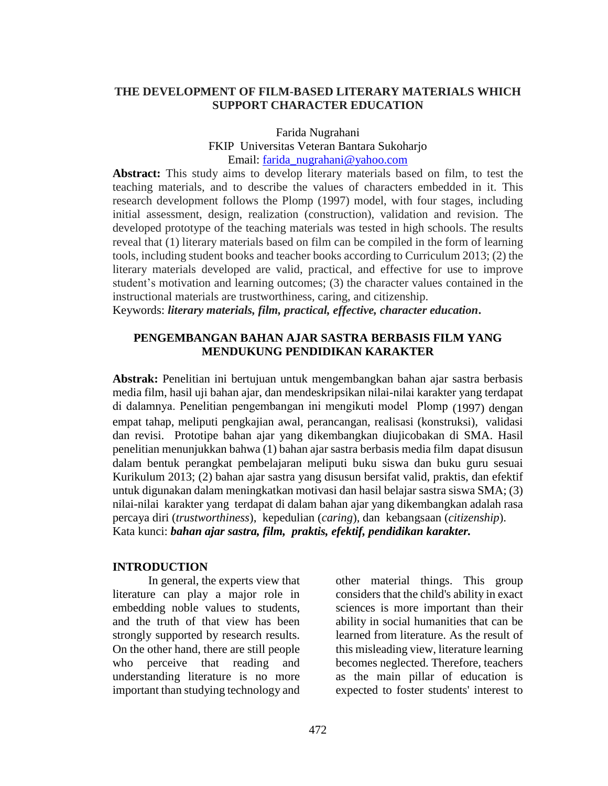### **THE DEVELOPMENT OF FILM-BASED LITERARY MATERIALS WHICH SUPPORT CHARACTER EDUCATION**

Farida Nugrahani

FKIP Universitas Veteran Bantara Sukoharjo

### Email: [farida\\_nugrahani@yahoo.com](mailto:farida_nugrahani@yahoo.com)

**Abstract:** This study aims to develop literary materials based on film, to test the teaching materials, and to describe the values of characters embedded in it. This research development follows the Plomp (1997) model, with four stages, including initial assessment, design, realization (construction), validation and revision. The developed prototype of the teaching materials was tested in high schools. The results reveal that (1) literary materials based on film can be compiled in the form of learning tools, including student books and teacher books according to Curriculum 2013; (2) the literary materials developed are valid, practical, and effective for use to improve student's motivation and learning outcomes; (3) the character values contained in the instructional materials are trustworthiness, caring, and citizenship.

Keywords: *literary materials, film, practical, effective, character education***.**

### **PENGEMBANGAN BAHAN AJAR SASTRA BERBASIS FILM YANG MENDUKUNG PENDIDIKAN KARAKTER**

**Abstrak:** Penelitian ini bertujuan untuk mengembangkan bahan ajar sastra berbasis media film, hasil uji bahan ajar, dan mendeskripsikan nilai-nilai karakter yang terdapat di dalamnya. Penelitian pengembangan ini mengikuti model Plomp (1997) dengan empat tahap, meliputi pengkajian awal, perancangan, realisasi (konstruksi), validasi dan revisi. Prototipe bahan ajar yang dikembangkan diujicobakan di SMA. Hasil penelitian menunjukkan bahwa (1) bahan ajar sastra berbasis media film dapat disusun dalam bentuk perangkat pembelajaran meliputi buku siswa dan buku guru sesuai Kurikulum 2013; (2) bahan ajar sastra yang disusun bersifat valid, praktis, dan efektif untuk digunakan dalam meningkatkan motivasi dan hasil belajar sastra siswa SMA; (3) nilai-nilai karakter yang terdapat di dalam bahan ajar yang dikembangkan adalah rasa percaya diri (*trustworthiness*), kepedulian (*caring*), dan kebangsaan (*citizenship*). Kata kunci: *bahan ajar sastra, film, praktis, efektif, pendidikan karakter.*

#### **INTRODUCTION**

In general, the experts view that literature can play a major role in embedding noble values to students, and the truth of that view has been strongly supported by research results. On the other hand, there are still people who perceive that reading and understanding literature is no more important than studying technology and

other material things. This group considers that the child's ability in exact sciences is more important than their ability in social humanities that can be learned from literature. As the result of this misleading view, literature learning becomes neglected. Therefore, teachers as the main pillar of education is expected to foster students' interest to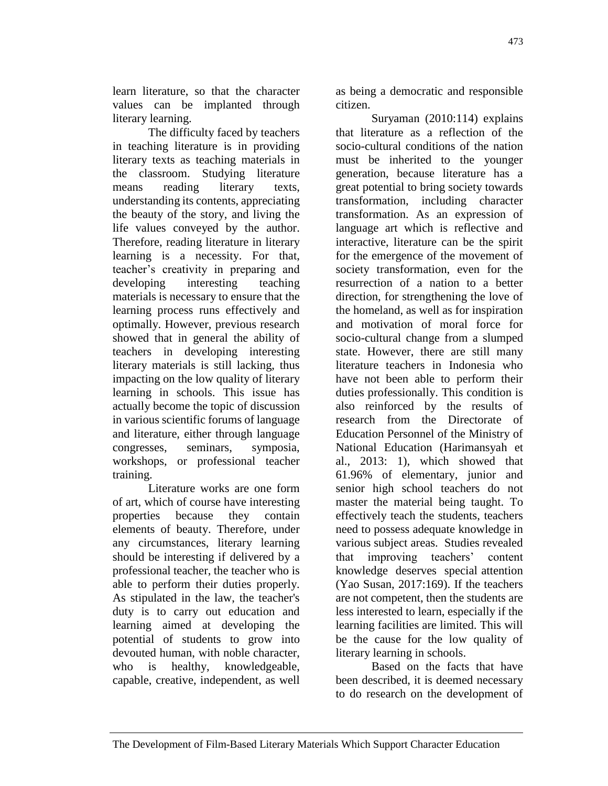learn literature, so that the character values can be implanted through literary learning.

The difficulty faced by teachers in teaching literature is in providing literary texts as teaching materials in the classroom. Studying literature means reading literary texts, understanding its contents, appreciating the beauty of the story, and living the life values conveyed by the author. Therefore, reading literature in literary learning is a necessity. For that, teacher's creativity in preparing and developing interesting teaching materials is necessary to ensure that the learning process runs effectively and optimally. However, previous research showed that in general the ability of teachers in developing interesting literary materials is still lacking, thus impacting on the low quality of literary learning in schools. This issue has actually become the topic of discussion in various scientific forums of language and literature, either through language congresses, seminars, symposia, workshops, or professional teacher training.

Literature works are one form of art, which of course have interesting properties because they contain elements of beauty. Therefore, under any circumstances, literary learning should be interesting if delivered by a professional teacher, the teacher who is able to perform their duties properly. As stipulated in the law, the teacher's duty is to carry out education and learning aimed at developing the potential of students to grow into devouted human, with noble character, who is healthy, knowledgeable, capable, creative, independent, as well

as being a democratic and responsible citizen.

Suryaman (2010:114) explains that literature as a reflection of the socio-cultural conditions of the nation must be inherited to the younger generation, because literature has a great potential to bring society towards transformation, including character transformation. As an expression of language art which is reflective and interactive, literature can be the spirit for the emergence of the movement of society transformation, even for the resurrection of a nation to a better direction, for strengthening the love of the homeland, as well as for inspiration and motivation of moral force for socio-cultural change from a slumped state. However, there are still many literature teachers in Indonesia who have not been able to perform their duties professionally. This condition is also reinforced by the results of research from the Directorate of Education Personnel of the Ministry of National Education (Harimansyah et al., 2013: 1), which showed that 61.96% of elementary, junior and senior high school teachers do not master the material being taught. To effectively teach the students, teachers need to possess adequate knowledge in various subject areas. Studies revealed that improving teachers' content knowledge deserves special attention (Yao Susan, 2017:169). If the teachers are not competent, then the students are less interested to learn, especially if the learning facilities are limited. This will be the cause for the low quality of literary learning in schools.

Based on the facts that have been described, it is deemed necessary to do research on the development of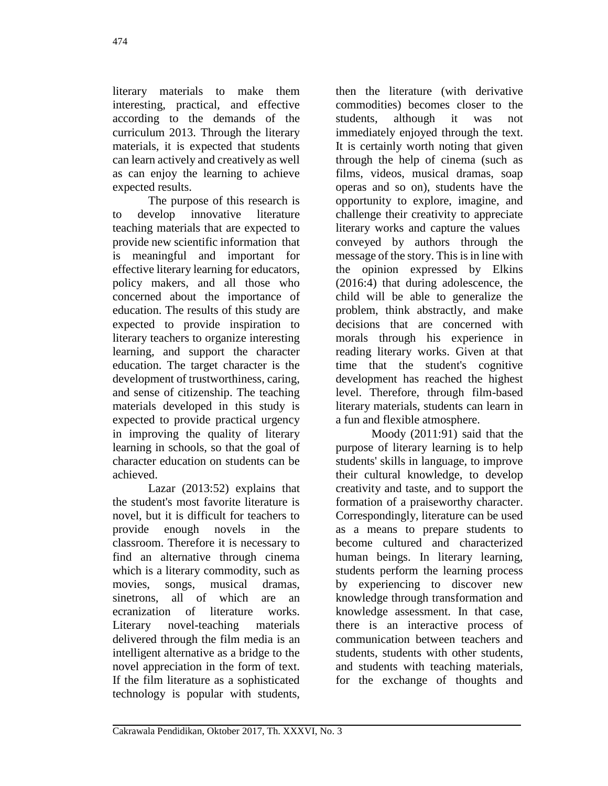literary materials to make them interesting, practical, and effective according to the demands of the curriculum 2013. Through the literary materials, it is expected that students can learn actively and creatively as well as can enjoy the learning to achieve expected results.

The purpose of this research is to develop innovative literature teaching materials that are expected to provide new scientific information that is meaningful and important for effective literary learning for educators, policy makers, and all those who concerned about the importance of education. The results of this study are expected to provide inspiration to literary teachers to organize interesting learning, and support the character education. The target character is the development of trustworthiness, caring, and sense of citizenship. The teaching materials developed in this study is expected to provide practical urgency in improving the quality of literary learning in schools, so that the goal of character education on students can be achieved.

Lazar (2013:52) explains that the student's most favorite literature is novel, but it is difficult for teachers to provide enough novels in the classroom. Therefore it is necessary to find an alternative through cinema which is a literary commodity, such as movies, songs, musical dramas, sinetrons, all of which are an ecranization of literature works. Literary novel-teaching materials delivered through the film media is an intelligent alternative as a bridge to the novel appreciation in the form of text. If the film literature as a sophisticated technology is popular with students,

then the literature (with derivative commodities) becomes closer to the students, although it was not immediately enjoyed through the text. It is certainly worth noting that given through the help of cinema (such as films, videos, musical dramas, soap operas and so on), students have the opportunity to explore, imagine, and challenge their creativity to appreciate literary works and capture the values conveyed by authors through the message of the story. This is in line with the opinion expressed by Elkins (2016:4) that during adolescence, the child will be able to generalize the problem, think abstractly, and make decisions that are concerned with morals through his experience in reading literary works. Given at that time that the student's cognitive development has reached the highest level. Therefore, through film-based literary materials, students can learn in a fun and flexible atmosphere.

Moody (2011:91) said that the purpose of literary learning is to help students' skills in language, to improve their cultural knowledge, to develop creativity and taste, and to support the formation of a praiseworthy character. Correspondingly, literature can be used as a means to prepare students to become cultured and characterized human beings. In literary learning, students perform the learning process by experiencing to discover new knowledge through transformation and knowledge assessment. In that case, there is an interactive process of communication between teachers and students, students with other students, and students with teaching materials, for the exchange of thoughts and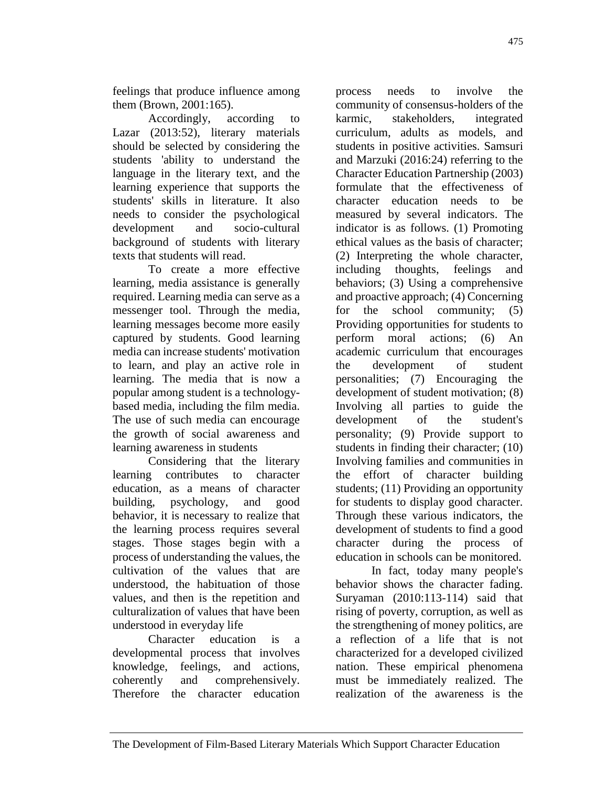feelings that produce influence among them (Brown, 2001:165).

Accordingly, according to Lazar (2013:52), literary materials should be selected by considering the students 'ability to understand the language in the literary text, and the learning experience that supports the students' skills in literature. It also needs to consider the psychological development and socio-cultural background of students with literary texts that students will read.

To create a more effective learning, media assistance is generally required. Learning media can serve as a messenger tool. Through the media, learning messages become more easily captured by students. Good learning media can increase students' motivation to learn, and play an active role in learning. The media that is now a popular among student is a technologybased media, including the film media. The use of such media can encourage the growth of social awareness and learning awareness in students

Considering that the literary learning contributes to character education, as a means of character building, psychology, and good behavior, it is necessary to realize that the learning process requires several stages. Those stages begin with a process of understanding the values, the cultivation of the values that are understood, the habituation of those values, and then is the repetition and culturalization of values that have been understood in everyday life

Character education is a developmental process that involves knowledge, feelings, and actions, coherently and comprehensively. Therefore the character education

process needs to involve the community of consensus-holders of the karmic, stakeholders, integrated curriculum, adults as models, and students in positive activities. Samsuri and Marzuki (2016:24) referring to the Character Education Partnership (2003) formulate that the effectiveness of character education needs to be measured by several indicators. The indicator is as follows. (1) Promoting ethical values as the basis of character; (2) Interpreting the whole character, including thoughts, feelings and behaviors; (3) Using a comprehensive and proactive approach; (4) Concerning for the school community; (5) Providing opportunities for students to perform moral actions; (6) An academic curriculum that encourages the development of student personalities; (7) Encouraging the development of student motivation; (8) Involving all parties to guide the development of the student's personality; (9) Provide support to students in finding their character; (10) Involving families and communities in the effort of character building students; (11) Providing an opportunity for students to display good character. Through these various indicators, the development of students to find a good character during the process of education in schools can be monitored.

In fact, today many people's behavior shows the character fading. Suryaman (2010:113-114) said that rising of poverty, corruption, as well as the strengthening of money politics, are a reflection of a life that is not characterized for a developed civilized nation. These empirical phenomena must be immediately realized. The realization of the awareness is the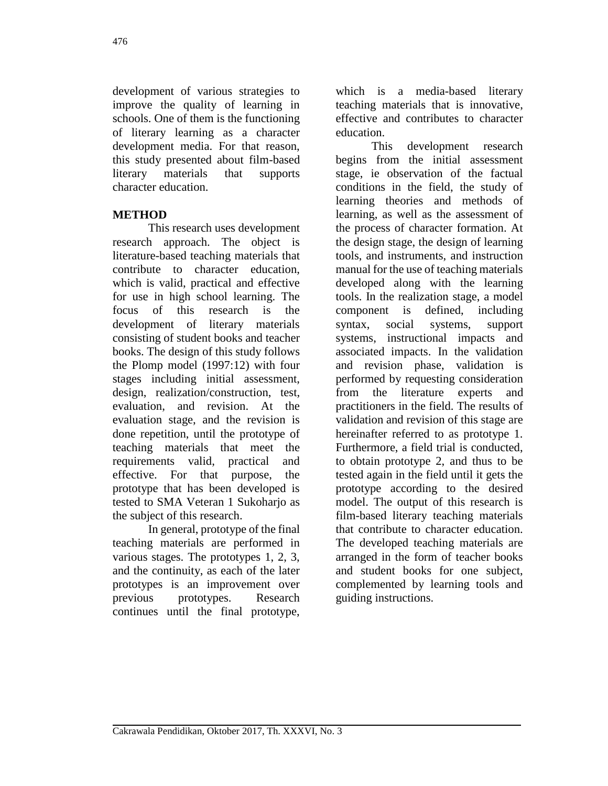development of various strategies to improve the quality of learning in schools. One of them is the functioning of literary learning as a character development media. For that reason, this study presented about film-based literary materials that supports character education.

# **METHOD**

This research uses development research approach. The object is literature-based teaching materials that contribute to character education, which is valid, practical and effective for use in high school learning. The focus of this research is the development of literary materials consisting of student books and teacher books. The design of this study follows the Plomp model (1997:12) with four stages including initial assessment, design, realization/construction, test, evaluation, and revision. At the evaluation stage, and the revision is done repetition, until the prototype of teaching materials that meet the requirements valid, practical and effective. For that purpose, the prototype that has been developed is tested to SMA Veteran 1 Sukoharjo as the subject of this research.

In general, prototype of the final teaching materials are performed in various stages. The prototypes 1, 2, 3, and the continuity, as each of the later prototypes is an improvement over previous prototypes. Research continues until the final prototype,

which is a media-based literary teaching materials that is innovative, effective and contributes to character education.

This development research begins from the initial assessment stage, ie observation of the factual conditions in the field, the study of learning theories and methods of learning, as well as the assessment of the process of character formation. At the design stage, the design of learning tools, and instruments, and instruction manual for the use of teaching materials developed along with the learning tools. In the realization stage, a model component is defined, including syntax, social systems, support systems, instructional impacts and associated impacts. In the validation and revision phase, validation is performed by requesting consideration from the literature experts and practitioners in the field. The results of validation and revision of this stage are hereinafter referred to as prototype 1. Furthermore, a field trial is conducted, to obtain prototype 2, and thus to be tested again in the field until it gets the prototype according to the desired model. The output of this research is film-based literary teaching materials that contribute to character education. The developed teaching materials are arranged in the form of teacher books and student books for one subject, complemented by learning tools and guiding instructions.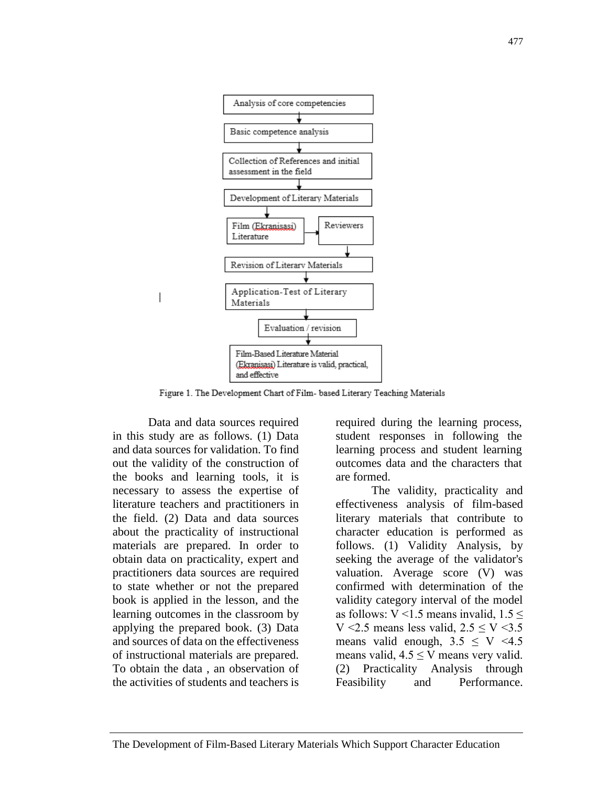

Figure 1. The Development Chart of Film- based Literary Teaching Materials

Data and data sources required in this study are as follows. (1) Data and data sources for validation. To find out the validity of the construction of the books and learning tools, it is necessary to assess the expertise of literature teachers and practitioners in the field. (2) Data and data sources about the practicality of instructional materials are prepared. In order to obtain data on practicality, expert and practitioners data sources are required to state whether or not the prepared book is applied in the lesson, and the learning outcomes in the classroom by applying the prepared book. (3) Data and sources of data on the effectiveness of instructional materials are prepared. To obtain the data , an observation of the activities of students and teachers is

 $\overline{\phantom{a}}$ 

required during the learning process, student responses in following the learning process and student learning outcomes data and the characters that are formed.

The validity, practicality and effectiveness analysis of film-based literary materials that contribute to character education is performed as follows. (1) Validity Analysis, by seeking the average of the validator's valuation. Average score (V) was confirmed with determination of the validity category interval of the model as follows: V <1.5 means invalid,  $1.5 \le$ V <2.5 means less valid,  $2.5 \le V \le 3.5$ means valid enough,  $3.5 \leq V \leq 4.5$ means valid,  $4.5 \leq V$  means very valid. (2) Practicality Analysis through Feasibility and Performance.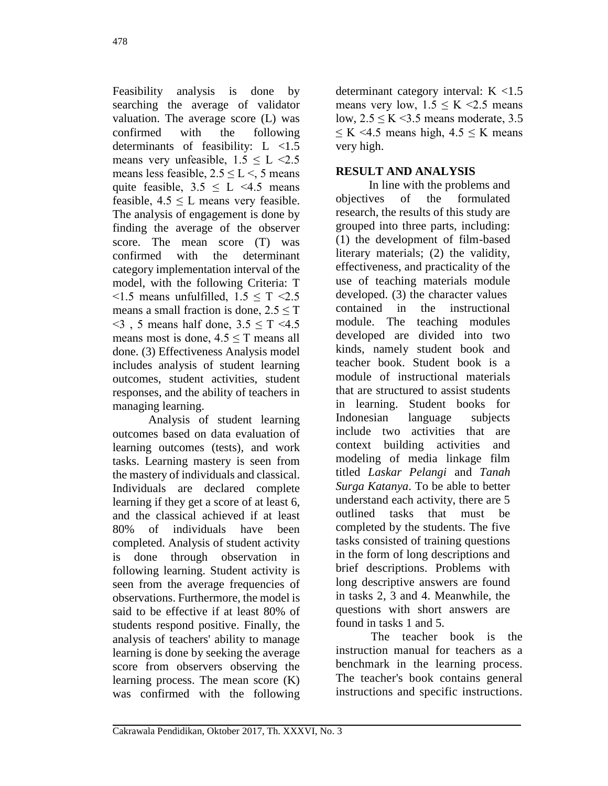Feasibility analysis is done by searching the average of validator valuation. The average score (L) was confirmed with the following determinants of feasibility: L <1.5 means very unfeasible,  $1.5 \le L \le 2.5$ means less feasible,  $2.5 \le L < 5$  means quite feasible,  $3.5 \leq L \leq 4.5$  means feasible,  $4.5 \leq L$  means very feasible. The analysis of engagement is done by finding the average of the observer score. The mean score (T) was confirmed with the determinant category implementation interval of the model, with the following Criteria: T  $\leq$ 1.5 means unfulfilled, 1.5  $\leq$  T  $\leq$ 2.5 means a small fraction is done,  $2.5 \le T$  $\leq$ 3, 5 means half done, 3.5  $\leq$  T  $\leq$ 4.5 means most is done,  $4.5 \le T$  means all done. (3) Effectiveness Analysis model includes analysis of student learning outcomes, student activities, student responses, and the ability of teachers in managing learning.

Analysis of student learning outcomes based on data evaluation of learning outcomes (tests), and work tasks. Learning mastery is seen from the mastery of individuals and classical. Individuals are declared complete learning if they get a score of at least 6, and the classical achieved if at least 80% of individuals have been completed. Analysis of student activity is done through observation in following learning. Student activity is seen from the average frequencies of observations. Furthermore, the model is said to be effective if at least 80% of students respond positive. Finally, the analysis of teachers' ability to manage learning is done by seeking the average score from observers observing the learning process. The mean score (K) was confirmed with the following

determinant category interval: K <1.5 means very low,  $1.5 \le K \le 2.5$  means low,  $2.5 \leq K \leq 3.5$  means moderate, 3.5  $\leq K \leq 4.5$  means high,  $4.5 \leq K$  means very high.

## **RESULT AND ANALYSIS**

In line with the problems and objectives of the formulated research, the results of this study are grouped into three parts, including: (1) the development of film-based literary materials; (2) the validity, effectiveness, and practicality of the use of teaching materials module developed. (3) the character values contained in the instructional module. The teaching modules developed are divided into two kinds, namely student book and teacher book. Student book is a module of instructional materials that are structured to assist students in learning. Student books for Indonesian language subjects include two activities that are context building activities and modeling of media linkage film titled *Laskar Pelangi* and *Tanah Surga Katanya*. To be able to better understand each activity, there are 5 outlined tasks that must be completed by the students. The five tasks consisted of training questions in the form of long descriptions and brief descriptions. Problems with long descriptive answers are found in tasks 2, 3 and 4. Meanwhile, the questions with short answers are found in tasks 1 and 5.

The teacher book is the instruction manual for teachers as a benchmark in the learning process. The teacher's book contains general instructions and specific instructions.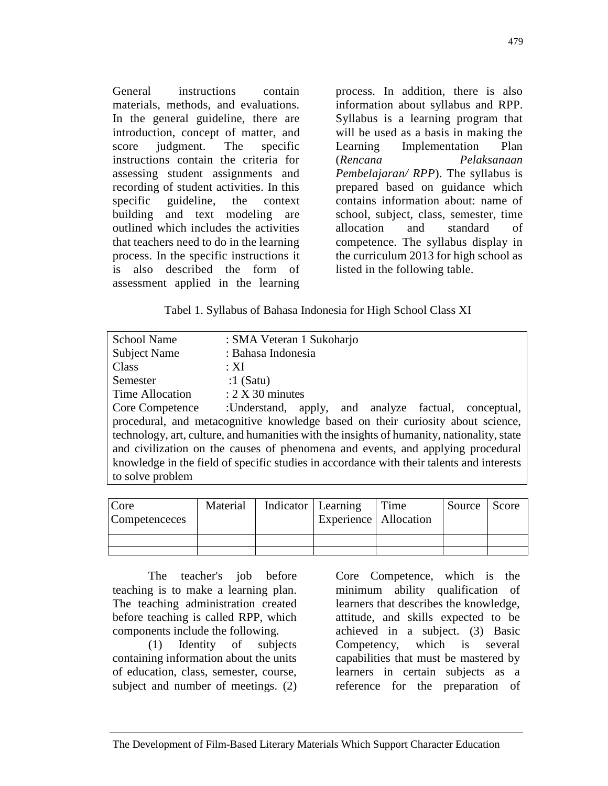General instructions contain materials, methods, and evaluations. In the general guideline, there are introduction, concept of matter, and score judgment. The specific instructions contain the criteria for assessing student assignments and recording of student activities. In this specific guideline, the context building and text modeling are outlined which includes the activities that teachers need to do in the learning process. In the specific instructions it is also described the form of assessment applied in the learning

process. In addition, there is also information about syllabus and RPP. Syllabus is a learning program that will be used as a basis in making the Learning Implementation Plan (*Rencana Pelaksanaan Pembelajaran/ RPP*). The syllabus is prepared based on guidance which contains information about: name of school, subject, class, semester, time allocation and standard of competence. The syllabus display in the curriculum 2013 for high school as listed in the following table.

### Tabel 1. Syllabus of Bahasa Indonesia for High School Class XI

| <b>School Name</b>                                                                         | : SMA Veteran 1 Sukoharjo                            |  |  |
|--------------------------------------------------------------------------------------------|------------------------------------------------------|--|--|
| <b>Subject Name</b>                                                                        | : Bahasa Indonesia                                   |  |  |
| Class                                                                                      | $\cdot$ XI                                           |  |  |
| Semester                                                                                   | $:1$ (Satu)                                          |  |  |
| Time Allocation                                                                            | $: 2 X 30$ minutes                                   |  |  |
| <b>Core Competence</b>                                                                     | :Understand, apply, and analyze factual, conceptual, |  |  |
| procedural, and metacognitive knowledge based on their curiosity about science,            |                                                      |  |  |
| technology, art, culture, and humanities with the insights of humanity, nationality, state |                                                      |  |  |
| and civilization on the causes of phenomena and events, and applying procedural            |                                                      |  |  |
| knowledge in the field of specific studies in accordance with their talents and interests  |                                                      |  |  |
| to solve problem                                                                           |                                                      |  |  |
|                                                                                            |                                                      |  |  |

| Core<br>Competenceces | Material | Indicator   Learning<br>Experience   Allocation | Time | Source Score |  |
|-----------------------|----------|-------------------------------------------------|------|--------------|--|
|                       |          |                                                 |      |              |  |
|                       |          |                                                 |      |              |  |

The teacher's job before teaching is to make a learning plan. The teaching administration created before teaching is called RPP, which components include the following.

(1) Identity of subjects containing information about the units of education, class, semester, course, subject and number of meetings. (2)

Core Competence, which is the minimum ability qualification of learners that describes the knowledge, attitude, and skills expected to be achieved in a subject. (3) Basic Competency, which is several capabilities that must be mastered by learners in certain subjects as a reference for the preparation of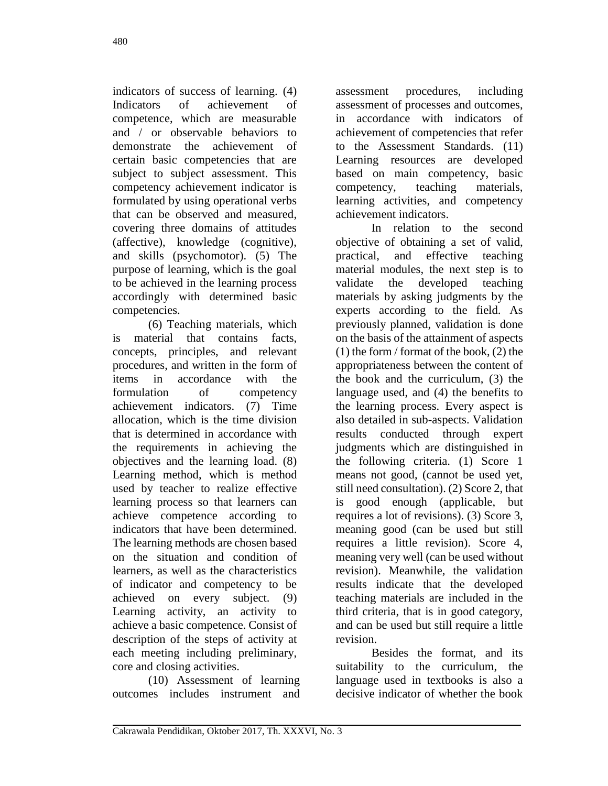indicators of success of learning. (4) Indicators of achievement of competence, which are measurable and / or observable behaviors to demonstrate the achievement of certain basic competencies that are subject to subject assessment. This competency achievement indicator is formulated by using operational verbs that can be observed and measured, covering three domains of attitudes (affective), knowledge (cognitive), and skills (psychomotor). (5) The purpose of learning, which is the goal to be achieved in the learning process accordingly with determined basic competencies.

(6) Teaching materials, which is material that contains facts, concepts, principles, and relevant procedures, and written in the form of items in accordance with the formulation of competency achievement indicators. (7) Time allocation, which is the time division that is determined in accordance with the requirements in achieving the objectives and the learning load. (8) Learning method, which is method used by teacher to realize effective learning process so that learners can achieve competence according to indicators that have been determined. The learning methods are chosen based on the situation and condition of learners, as well as the characteristics of indicator and competency to be achieved on every subject. (9) Learning activity, an activity to achieve a basic competence. Consist of description of the steps of activity at each meeting including preliminary, core and closing activities.

(10) Assessment of learning outcomes includes instrument and

assessment procedures, including assessment of processes and outcomes, in accordance with indicators of achievement of competencies that refer to the Assessment Standards. (11) Learning resources are developed based on main competency, basic competency, teaching materials, learning activities, and competency achievement indicators.

In relation to the second objective of obtaining a set of valid, practical, and effective teaching material modules, the next step is to validate the developed teaching materials by asking judgments by the experts according to the field. As previously planned, validation is done on the basis of the attainment of aspects (1) the form / format of the book, (2) the appropriateness between the content of the book and the curriculum, (3) the language used, and (4) the benefits to the learning process. Every aspect is also detailed in sub-aspects. Validation results conducted through expert judgments which are distinguished in the following criteria. (1) Score 1 means not good, (cannot be used yet, still need consultation). (2) Score 2, that is good enough (applicable, but requires a lot of revisions). (3) Score 3, meaning good (can be used but still requires a little revision). Score 4, meaning very well (can be used without revision). Meanwhile, the validation results indicate that the developed teaching materials are included in the third criteria, that is in good category, and can be used but still require a little revision.

Besides the format, and its suitability to the curriculum, the language used in textbooks is also a decisive indicator of whether the book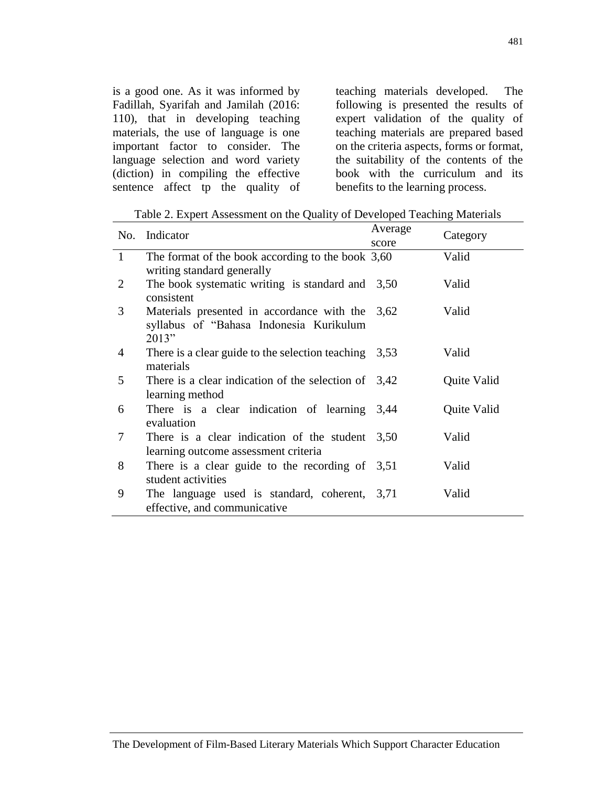is a good one. As it was informed by Fadillah, Syarifah and Jamilah (2016: 110), that in developing teaching materials, the use of language is one important factor to consider. The language selection and word variety (diction) in compiling the effective sentence affect tp the quality of

teaching materials developed. The following is presented the results of expert validation of the quality of teaching materials are prepared based on the criteria aspects, forms or format, the suitability of the contents of the book with the curriculum and its benefits to the learning process.

Table 2. Expert Assessment on the Quality of Developed Teaching Materials

| No.          | Indicator                                                                                           | Average |             |
|--------------|-----------------------------------------------------------------------------------------------------|---------|-------------|
|              |                                                                                                     | score   | Category    |
| $\mathbf{1}$ | The format of the book according to the book $3,60$<br>writing standard generally                   |         | Valid       |
| 2            | The book systematic writing is standard and $3,50$<br>consistent                                    |         | Valid       |
| 3            | Materials presented in accordance with the 3,62<br>syllabus of "Bahasa Indonesia Kurikulum<br>2013" |         | Valid       |
| 4            | There is a clear guide to the selection teaching $3,53$<br>materials                                |         | Valid       |
| 5            | There is a clear indication of the selection of $3,42$<br>learning method                           |         | Quite Valid |
| 6            | There is a clear indication of learning 3,44<br>evaluation                                          |         | Quite Valid |
| 7            | There is a clear indication of the student $3,50$<br>learning outcome assessment criteria           |         | Valid       |
| 8            | There is a clear guide to the recording of $3,51$<br>student activities                             |         | Valid       |
| 9            | The language used is standard, coherent, 3,71<br>effective, and communicative                       |         | Valid       |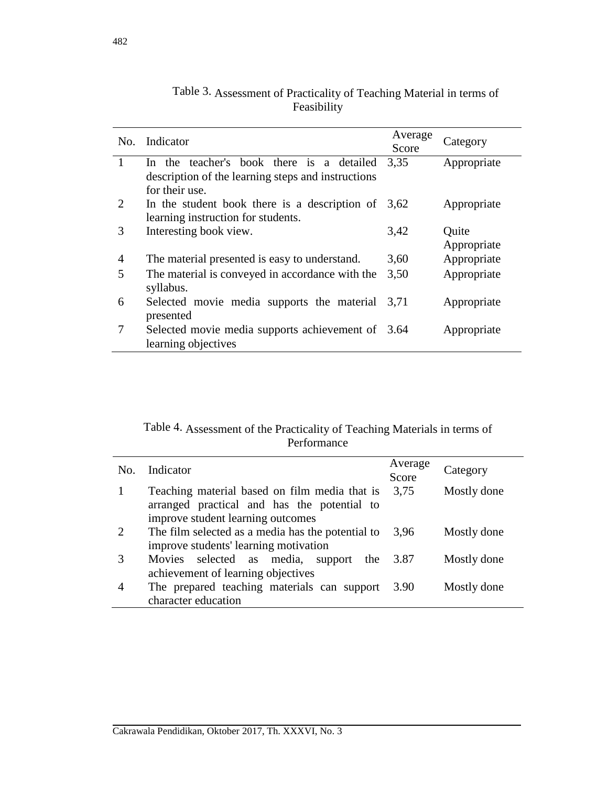|                             | No. Indicator                                                            | Average<br>Score | Category    |
|-----------------------------|--------------------------------------------------------------------------|------------------|-------------|
| $\mathbf{1}$                | In the teacher's book there is a detailed                                | 3,35             | Appropriate |
|                             | description of the learning steps and instructions<br>for their use.     |                  |             |
| $\mathcal{D}_{\mathcal{L}}$ | In the student book there is a description of $3,62$                     |                  | Appropriate |
|                             | learning instruction for students.                                       |                  |             |
| 3                           | Interesting book view.                                                   | 3,42             | Quite       |
|                             |                                                                          |                  | Appropriate |
| 4                           | The material presented is easy to understand.                            | 3,60             | Appropriate |
| 5                           | The material is conveyed in accordance with the<br>syllabus.             | 3,50             | Appropriate |
| 6                           | Selected movie media supports the material<br>presented                  | 3,71             | Appropriate |
| 7                           | Selected movie media supports achievement of 3.64<br>learning objectives |                  | Appropriate |

| Table 3. Assessment of Practicality of Teaching Material in terms of |  |
|----------------------------------------------------------------------|--|
| Feasibility                                                          |  |

| Table 4. Assessment of the Practicality of Teaching Materials in terms of |
|---------------------------------------------------------------------------|
| Performance                                                               |

| No. | Indicator                                                                                                                         | Average<br>Score | Category    |
|-----|-----------------------------------------------------------------------------------------------------------------------------------|------------------|-------------|
|     | Teaching material based on film media that is<br>arranged practical and has the potential to<br>improve student learning outcomes | 3,75             | Mostly done |
|     | The film selected as a media has the potential to<br>improve students' learning motivation                                        | 3.96             | Mostly done |
|     | Movies selected as media,<br>support<br>the<br>achievement of learning objectives                                                 | 3.87             | Mostly done |
| 4   | The prepared teaching materials can support<br>character education                                                                | 3.90             | Mostly done |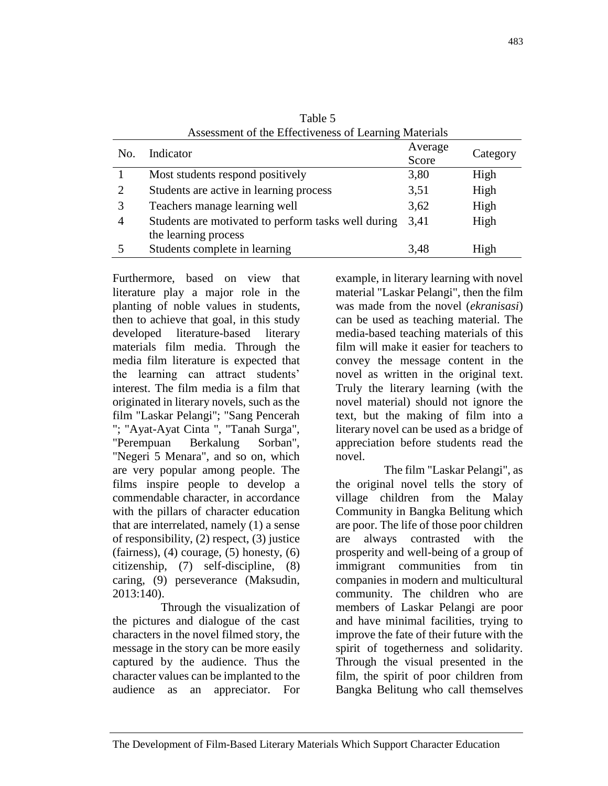| Assessment of the Effectiveness of Learning Materials |                                                     |         |          |  |
|-------------------------------------------------------|-----------------------------------------------------|---------|----------|--|
| No.                                                   | Indicator                                           | Average | Category |  |
|                                                       |                                                     | Score   |          |  |
|                                                       | Most students respond positively                    | 3,80    | High     |  |
| 2                                                     | Students are active in learning process             | 3,51    | High     |  |
|                                                       | Teachers manage learning well                       | 3,62    | High     |  |
| $\overline{4}$                                        | Students are motivated to perform tasks well during | 3.41    | High     |  |
|                                                       | the learning process                                |         |          |  |
|                                                       | Students complete in learning                       | 3.48    | High     |  |

Table 5

Furthermore, based on view that literature play a major role in the planting of noble values in students, then to achieve that goal, in this study developed literature-based literary materials film media. Through the media film literature is expected that the learning can attract students' interest. The film media is a film that originated in literary novels, such as the film "Laskar Pelangi"; "Sang Pencerah "; "Ayat-Ayat Cinta ", "Tanah Surga", "Perempuan Berkalung Sorban", "Negeri 5 Menara", and so on, which are very popular among people. The films inspire people to develop a commendable character, in accordance with the pillars of character education that are interrelated, namely (1) a sense of responsibility, (2) respect, (3) justice (fairness),  $(4)$  courage,  $(5)$  honesty,  $(6)$ citizenship, (7) self-discipline, (8) caring, (9) perseverance (Maksudin, 2013:140).

Through the visualization of the pictures and dialogue of the cast characters in the novel filmed story, the message in the story can be more easily captured by the audience. Thus the character values can be implanted to the audience as an appreciator. For

example, in literary learning with novel material "Laskar Pelangi", then the film was made from the novel (*ekranisasi*) can be used as teaching material. The media-based teaching materials of this film will make it easier for teachers to convey the message content in the novel as written in the original text. Truly the literary learning (with the novel material) should not ignore the text, but the making of film into a literary novel can be used as a bridge of appreciation before students read the novel.

The film "Laskar Pelangi", as the original novel tells the story of village children from the Malay Community in Bangka Belitung which are poor. The life of those poor children are always contrasted with the prosperity and well-being of a group of immigrant communities from tin companies in modern and multicultural community. The children who are members of Laskar Pelangi are poor and have minimal facilities, trying to improve the fate of their future with the spirit of togetherness and solidarity. Through the visual presented in the film, the spirit of poor children from Bangka Belitung who call themselves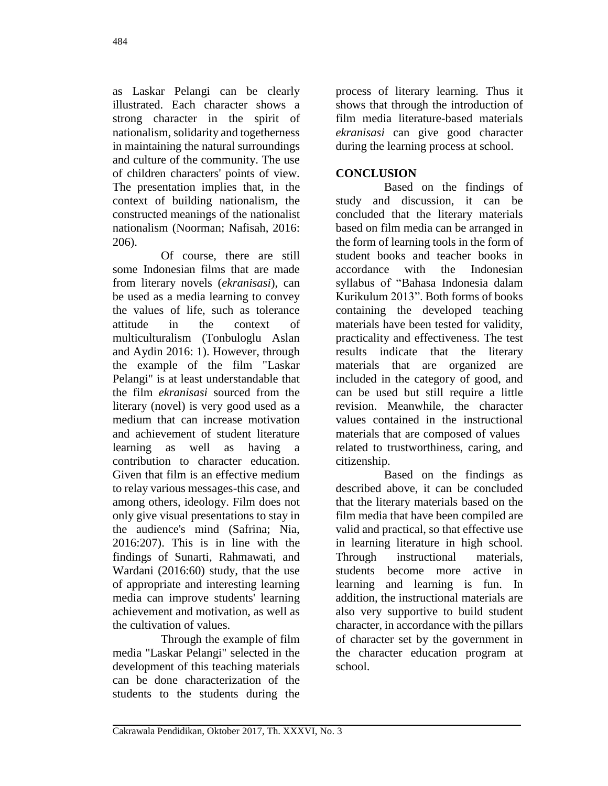as Laskar Pelangi can be clearly illustrated. Each character shows a strong character in the spirit of nationalism, solidarity and togetherness in maintaining the natural surroundings and culture of the community. The use of children characters' points of view. The presentation implies that, in the context of building nationalism, the constructed meanings of the nationalist nationalism (Noorman; Nafisah, 2016: 206).

Of course, there are still some Indonesian films that are made from literary novels (*ekranisasi*), can be used as a media learning to convey the values of life, such as tolerance attitude in the context of multiculturalism (Tonbuloglu Aslan and Aydin 2016: 1). However, through the example of the film "Laskar Pelangi" is at least understandable that the film *ekranisasi* sourced from the literary (novel) is very good used as a medium that can increase motivation and achievement of student literature learning as well as having a contribution to character education. Given that film is an effective medium to relay various messages-this case, and among others, ideology. Film does not only give visual presentations to stay in the audience's mind (Safrina; Nia, 2016:207). This is in line with the findings of Sunarti, Rahmawati, and Wardani (2016:60) study, that the use of appropriate and interesting learning media can improve students' learning achievement and motivation, as well as the cultivation of values.

Through the example of film media "Laskar Pelangi" selected in the development of this teaching materials can be done characterization of the students to the students during the

process of literary learning. Thus it shows that through the introduction of film media literature-based materials *ekranisasi* can give good character during the learning process at school.

# **CONCLUSION**

Based on the findings of study and discussion, it can be concluded that the literary materials based on film media can be arranged in the form of learning tools in the form of student books and teacher books in accordance with the Indonesian syllabus of "Bahasa Indonesia dalam Kurikulum 2013". Both forms of books containing the developed teaching materials have been tested for validity, practicality and effectiveness. The test results indicate that the literary materials that are organized are included in the category of good, and can be used but still require a little revision. Meanwhile, the character values contained in the instructional materials that are composed of values related to trustworthiness, caring, and citizenship.

Based on the findings as described above, it can be concluded that the literary materials based on the film media that have been compiled are valid and practical, so that effective use in learning literature in high school. Through instructional materials, students become more active in learning and learning is fun. In addition, the instructional materials are also very supportive to build student character, in accordance with the pillars of character set by the government in the character education program at school.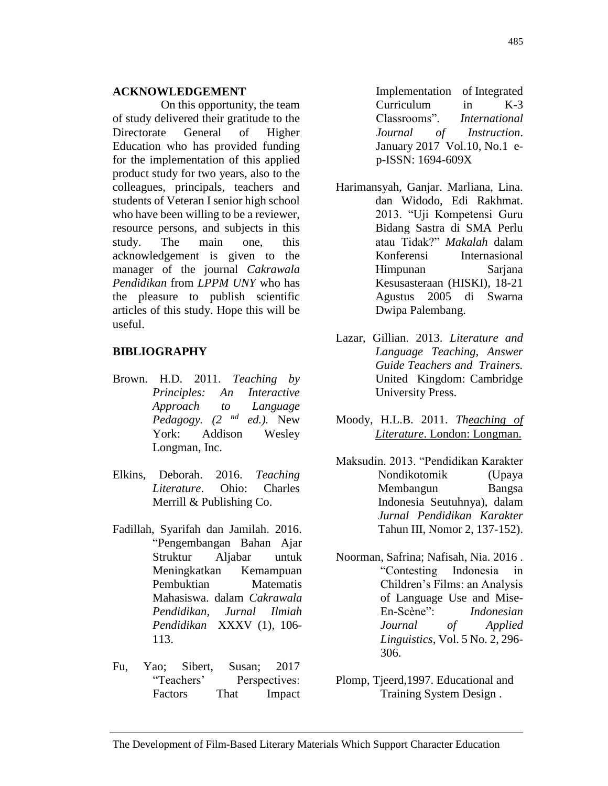#### **ACKNOWLEDGEMENT**

On this opportunity, the team of study delivered their gratitude to the Directorate General of Higher Education who has provided funding for the implementation of this applied product study for two years, also to the colleagues, principals, teachers and students of Veteran I senior high school who have been willing to be a reviewer, resource persons, and subjects in this study. The main one, this acknowledgement is given to the manager of the journal *Cakrawala Pendidikan* from *LPPM UNY* who has the pleasure to publish scientific articles of this study. Hope this will be useful.

#### **BIBLIOGRAPHY**

- Brown. H.D. 2011. *Teaching by Principles: An Interactive Approach to Language Pedagogy. (2 nd ed.).* New York: Addison Wesley Longman, Inc.
- Elkins, Deborah. 2016. *Teaching Literature*. Ohio: Charles Merrill & Publishing Co.
- Fadillah, Syarifah dan Jamilah. 2016. "Pengembangan Bahan Ajar Struktur Aljabar untuk Meningkatkan Kemampuan Pembuktian Matematis Mahasiswa. dalam *Cakrawala Pendidikan, Jurnal Ilmiah Pendidikan* XXXV (1), 106- 113.
- Fu, Yao; Sibert, Susan; 2017 "Teachers' Perspectives: Factors That Impact

Implementation of Integrated Curriculum in K-3 Classrooms". *International Journal of Instruction*. January 2017 Vol.10, No.1 ep-ISSN: 1694-609X

- Harimansyah, Ganjar. Marliana, Lina. dan Widodo, Edi Rakhmat. 2013. "Uji Kompetensi Guru Bidang Sastra di SMA Perlu atau Tidak?" *Makalah* dalam Konferensi Internasional Himpunan Sarjana Kesusasteraan (HISKI), 18-21 Agustus 2005 di Swarna Dwipa Palembang.
- Lazar, Gillian. 2013. *Literature and Language Teaching, Answer Guide Teachers and Trainers.* United Kingdom: Cambridge University Press.
- Moody, H.L.B. 2011. *Theaching of Literature*. London: Longman.
- Maksudin. 2013. "Pendidikan Karakter Nondikotomik (Upaya Membangun Bangsa Indonesia Seutuhnya), dalam *Jurnal Pendidikan Karakter* Tahun III, Nomor 2, 137-152).
- Noorman, Safrina; Nafisah, Nia. 2016 . "Contesting Indonesia in Children's Films: an Analysis of Language Use and Mise-En-Scène": *Indonesian Journal of Applied Linguistics*, Vol. 5 No. 2, 296- 306.
- Plomp, Tjeerd,1997. Educational and Training System Design .